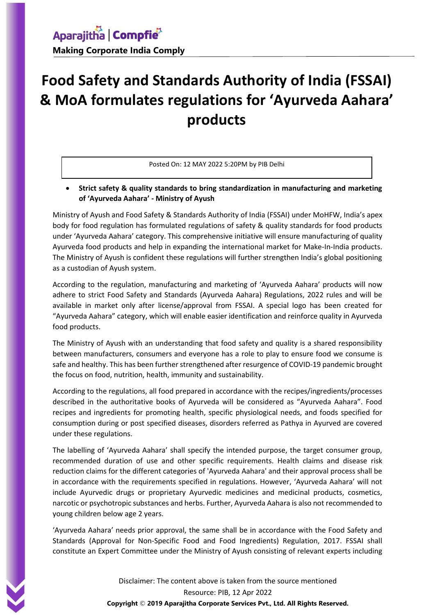# **Food Safety and Standards Authority of India (FSSAI) & MoA formulates regulations for 'Ayurveda Aahara' products**

#### Posted On: 12 MAY 2022 5:20PM by PIB Delhi

#### **Strict safety & quality standards to bring standardization in manufacturing and marketing of 'Ayurveda Aahara' - Ministry of Ayush**

Ministry of Ayush and Food Safety & Standards Authority of India (FSSAI) under MoHFW, India's apex body for food regulation has formulated regulations of safety & quality standards for food products under 'Ayurveda Aahara' category. This comprehensive initiative will ensure manufacturing of quality Ayurveda food products and help in expanding the international market for Make-In-India products. The Ministry of Ayush is confident these regulations will further strengthen India's global positioning as a custodian of Ayush system.

According to the regulation, manufacturing and marketing of 'Ayurveda Aahara' products will now adhere to strict Food Safety and Standards (Ayurveda Aahara) Regulations, 2022 rules and will be available in market only after license/approval from FSSAI. A special logo has been created for "Ayurveda Aahara" category, which will enable easier identification and reinforce quality in Ayurveda food products.

The Ministry of Ayush with an understanding that food safety and quality is a shared responsibility between manufacturers, consumers and everyone has a role to play to ensure food we consume is safe and healthy. This has been further strengthened after resurgence of COVID-19 pandemic brought the focus on food, nutrition, health, immunity and sustainability.

According to the regulations, all food prepared in accordance with the recipes/ingredients/processes described in the authoritative books of Ayurveda will be considered as "Ayurveda Aahara". Food recipes and ingredients for promoting health, specific physiological needs, and foods specified for consumption during or post specified diseases, disorders referred as Pathya in Ayurved are covered under these regulations.

The labelling of 'Ayurveda Aahara' shall specify the intended purpose, the target consumer group, recommended duration of use and other specific requirements. Health claims and disease risk reduction claims for the different categories of 'Ayurveda Aahara' and their approval process shall be in accordance with the requirements specified in regulations. However, 'Ayurveda Aahara' will not include Ayurvedic drugs or proprietary Ayurvedic medicines and medicinal products, cosmetics, narcotic or psychotropic substances and herbs. Further, Ayurveda Aahara is also not recommended to young children below age 2 years.

'Ayurveda Aahara' needs prior approval, the same shall be in accordance with the Food Safety and Standards (Approval for Non-Specific Food and Food Ingredients) Regulation, 2017. FSSAI shall constitute an Expert Committee under the Ministry of Ayush consisting of relevant experts including

> Disclaimer: The content above is taken from the source mentioned Resource: PIB, 12 Apr 2022 **Copyright** © **2019 Aparajitha Corporate Services Pvt., Ltd. All Rights Reserved.**